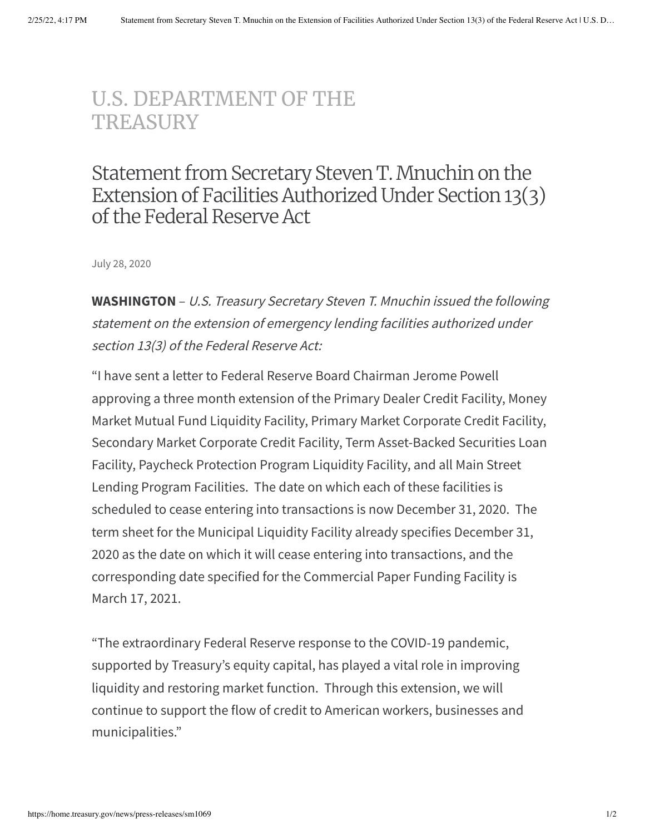## [U.S. DEPARTMENT](https://home.treasury.gov/) OF THE **TREASURY**

## Statement from Secretary Steven T. Mnuchin on the Extension of Facilities Authorized Under Section 13(3) of the Federal Reserve Act

July 28, 2020

**WASHINGTON** – U.S. Treasury Secretary Steven T. Mnuchin issued the following statement on the extension of emergency lending facilities authorized under section 13(3) of the Federal Reserve Act:

"I have sent a letter to Federal Reserve Board Chairman Jerome Powell approving a three month extension of the Primary Dealer Credit Facility, Money Market Mutual Fund Liquidity Facility, Primary Market Corporate Credit Facility, Secondary Market Corporate Credit Facility, Term Asset-Backed Securities Loan Facility, Paycheck Protection Program Liquidity Facility, and all Main Street Lending Program Facilities. The date on which each of these facilities is scheduled to cease entering into transactions is now December 31, 2020. The term sheet for the Municipal Liquidity Facility already specifies December 31, 2020 as the date on which it will cease entering into transactions, and the corresponding date specified for the Commercial Paper Funding Facility is March 17, 2021.

"The extraordinary Federal Reserve response to the COVID-19 pandemic, supported by Treasury's equity capital, has played a vital role in improving liquidity and restoring market function. Through this extension, we will continue to support the flow of credit to American workers, businesses and municipalities."